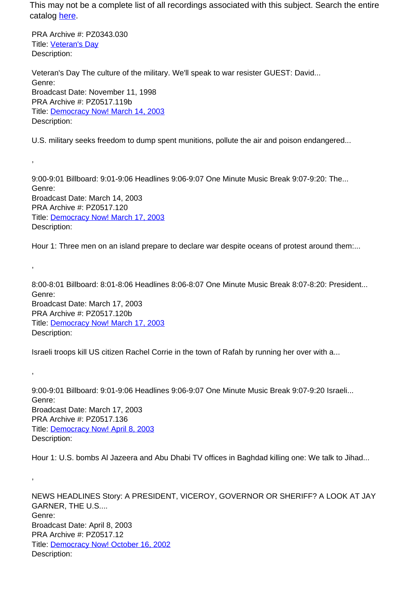This may not be a complete list of all recordings associated with this subject. Search the entire catalog [here.](http://pacificaradioarchives.org/keyword-search)

PRA Archive #: PZ0343.030 Title: Veteran's Day Description:

,

,

,

,

Veteran's Day The culture of the military. We'll speak to war resister GUEST: David... Genre: Broadcast Date: November 11, 1998 PRA Archive #: PZ0517.119b Title: Democracy Now! March 14, 2003 Description:

U.S. military seeks freedom to dump spent munitions, pollute the air and poison endangered...

9:00-9:01 Billboard: 9:01-9:06 Headlines 9:06-9:07 One Minute Music Break 9:07-9:20: The... Genre: Broadcast Date: March 14, 2003 PRA Archive #: PZ0517.120 Title: Democracy Now! March 17, 2003 Description:

Hour 1: Three men on an island prepare to declare war despite oceans of protest around them:...

8:00-8:01 Billboard: 8:01-8:06 Headlines 8:06-8:07 One Minute Music Break 8:07-8:20: President... Genre: Broadcast Date: March 17, 2003 PRA Archive #: PZ0517.120b Title: Democracy Now! March 17, 2003 Description:

Israeli troops kill US citizen Rachel Corrie in the town of Rafah by running her over with a...

9:00-9:01 Billboard: 9:01-9:06 Headlines 9:06-9:07 One Minute Music Break 9:07-9:20 Israeli... Genre: Broadcast Date: March 17, 2003 PRA Archive #: PZ0517.136 Title: Democracy Now! April 8, 2003 Description:

Hour 1: U.S. bombs Al Jazeera and Abu Dhabi TV offices in Baghdad killing one: We talk to Jihad...

NEWS HEADLINES Story: A PRESIDENT, VICEROY, GOVERNOR OR SHERIFF? A LOOK AT JAY GARNER, THE U.S.... Genre: Broadcast Date: April 8, 2003 PRA Archive #: PZ0517.12 Title: Democracy Now! October 16, 2002 Description: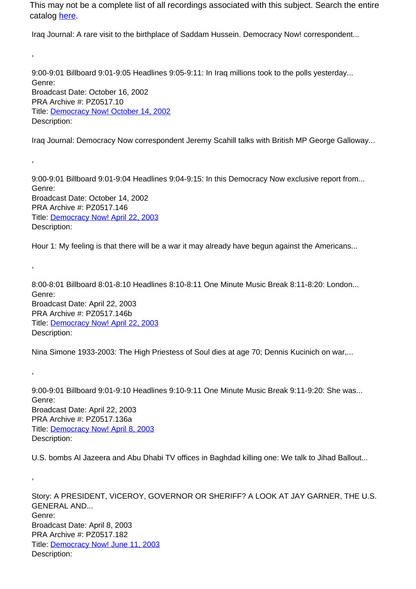This may not be a complete list of all recordings associated with this subject. Search the entire catalog here.

Iraq Journal: A rare visit to the birthplace of Saddam Hussein. Democracy Now! correspondent...

,

,

,

,

,

9:00-9:01 Billboard 9:01-9:05 Headlines 9:05-9:11: In Iraq millions took to the polls yesterday... Genre: Broadcast Date: October 16, 2002 PRA Archive #: PZ0517.10 Title: Democracy Now! October 14, 2002 Description:

Iraq Journal: Democracy Now correspondent Jeremy Scahill talks with British MP George Galloway...

9:00-9:01 Billboard 9:01-9:04 Headlines 9:04-9:15: In this Democracy Now exclusive report from... Genre: Broadcast Date: October 14, 2002 PRA Archive #: PZ0517.146 Title: Democracy Now! April 22, 2003 Description:

Hour 1: My feeling is that there will be a war it may already have begun against the Americans...

8:00-8:01 Billboard 8:01-8:10 Headlines 8:10-8:11 One Minute Music Break 8:11-8:20: London... Genre: Broadcast Date: April 22, 2003 PRA Archive #: PZ0517.146b Title: Democracy Now! April 22, 2003 Description:

Nina Simone 1933-2003: The High Priestess of Soul dies at age 70; Dennis Kucinich on war,...

9:00-9:01 Billboard 9:01-9:10 Headlines 9:10-9:11 One Minute Music Break 9:11-9:20: She was... Genre: Broadcast Date: April 22, 2003 PRA Archive #: PZ0517.136a Title: Democracy Now! April 8, 2003 Description:

U.S. bombs Al Jazeera and Abu Dhabi TV offices in Baghdad killing one: We talk to Jihad Ballout...

Story: A PRESIDENT, VICEROY, GOVERNOR OR SHERIFF? A LOOK AT JAY GARNER, THE U.S. GENERAL AND... Genre: Broadcast Date: April 8, 2003 PRA Archive #: PZ0517.182 Title: Democracy Now! June 11, 2003 Description: